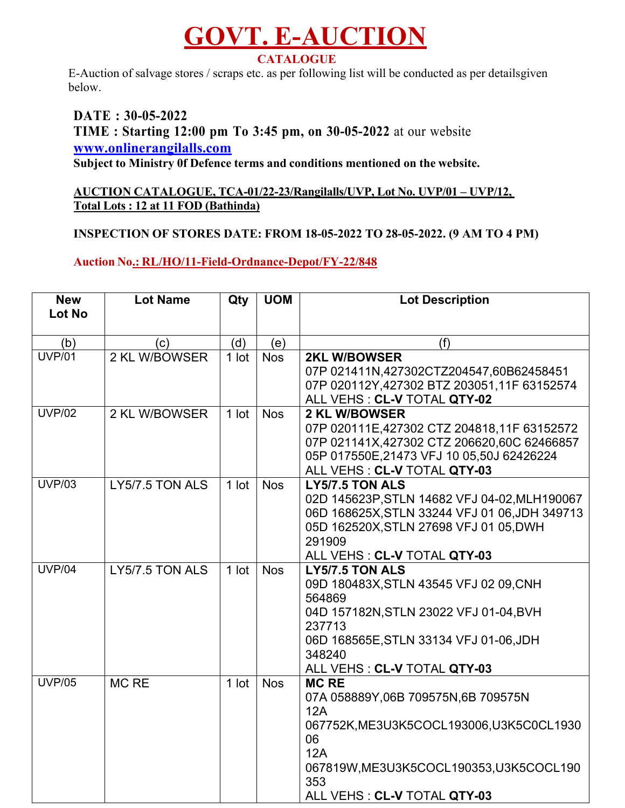## **GOVT. E-AUCTION CATALOGUE**

E-Auction of salvage stores / scraps etc. as per following list will be conducted as per detailsgiven below.

**DATE : 30-05-2022 TIME : Starting 12:00 pm To 3:45 pm, on 30-05-2022** at our website **www.onlinerangilalls.com Subject to Ministry 0f Defence terms and conditions mentioned on the website.**

## **AUCTION CATALOGUE, TCA-01/22-23/Rangilalls/UVP, Lot No. UVP/01 – UVP/12, Total Lots : 12 at 11 FOD (Bathinda)**

## **INSPECTION OF STORES DATE: FROM 18-05-2022 TO 28-05-2022. (9 AM TO 4 PM)**

## **Auction No.: RL/HO/11-Field-Ordnance-Depot/FY-22/848**

| <b>New</b>    | <b>Lot Name</b> | Qty     | <b>UOM</b> | <b>Lot Description</b>                         |
|---------------|-----------------|---------|------------|------------------------------------------------|
| <b>Lot No</b> |                 |         |            |                                                |
|               |                 |         |            |                                                |
| (b)           | (c)             | (d)     | (e)        | (f)                                            |
| <b>UVP/01</b> | 2 KL W/BOWSER   | 1 lot   | <b>Nos</b> | <b>2KL W/BOWSER</b>                            |
|               |                 |         |            | 07P 021411N,427302CTZ204547,60B62458451        |
|               |                 |         |            | 07P 020112Y, 427302 BTZ 203051, 11F 63152574   |
|               |                 |         |            | ALL VEHS : CL-V TOTAL QTY-02                   |
| <b>UVP/02</b> | 2 KL W/BOWSER   | $1$ lot | <b>Nos</b> | <b>2 KL W/BOWSER</b>                           |
|               |                 |         |            | 07P 020111E,427302 CTZ 204818,11F 63152572     |
|               |                 |         |            | 07P 021141X,427302 CTZ 206620,60C 62466857     |
|               |                 |         |            | 05P 017550E, 21473 VFJ 10 05, 50J 62426224     |
|               |                 |         |            | ALL VEHS : CL-V TOTAL QTY-03                   |
| <b>UVP/03</b> | LY5/7.5 TON ALS | $1$ lot | <b>Nos</b> | LY5/7.5 TON ALS                                |
|               |                 |         |            | 02D 145623P, STLN 14682 VFJ 04-02, MLH190067   |
|               |                 |         |            | 06D 168625X, STLN 33244 VFJ 01 06, JDH 349713  |
|               |                 |         |            | 05D 162520X, STLN 27698 VFJ 01 05, DWH         |
|               |                 |         |            | 291909                                         |
|               |                 |         |            | ALL VEHS : CL-V TOTAL QTY-03                   |
| <b>UVP/04</b> | LY5/7.5 TON ALS | $1$ lot | <b>Nos</b> | LY5/7.5 TON ALS                                |
|               |                 |         |            | 09D 180483X, STLN 43545 VFJ 02 09, CNH         |
|               |                 |         |            | 564869                                         |
|               |                 |         |            | 04D 157182N, STLN 23022 VFJ 01-04, BVH         |
|               |                 |         |            | 237713                                         |
|               |                 |         |            | 06D 168565E, STLN 33134 VFJ 01-06, JDH         |
|               |                 |         |            | 348240                                         |
|               |                 |         |            | ALL VEHS : CL-V TOTAL QTY-03                   |
| <b>UVP/05</b> | MC RE           | $1$ lot | <b>Nos</b> | <b>MC RE</b>                                   |
|               |                 |         |            | 07A 058889Y,06B 709575N,6B 709575N             |
|               |                 |         |            | 12A                                            |
|               |                 |         |            | 067752K, ME3U3K5COCL193006, U3K5C0CL1930<br>06 |
|               |                 |         |            | 12A                                            |
|               |                 |         |            |                                                |
|               |                 |         |            | 067819W, ME3U3K5COCL190353, U3K5COCL190<br>353 |
|               |                 |         |            |                                                |
|               |                 |         |            | ALL VEHS : CL-V TOTAL QTY-03                   |